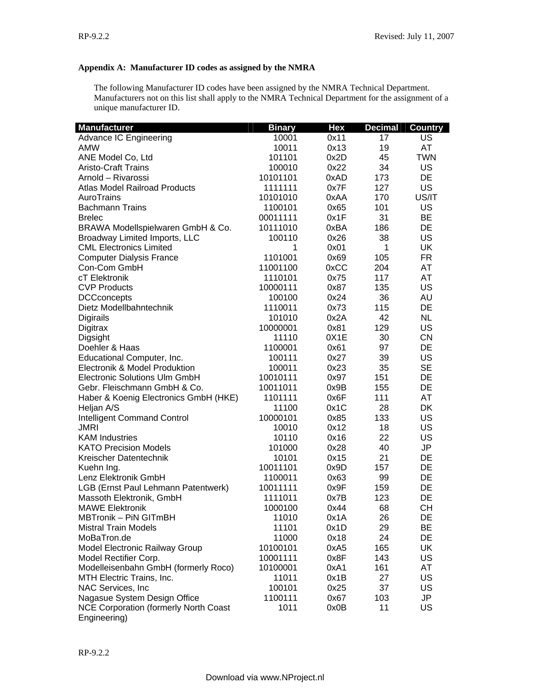## **Appendix A: Manufacturer ID codes as assigned by the NMRA**

The following Manufacturer ID codes have been assigned by the NMRA Technical Department. Manufacturers not on this list shall apply to the NMRA Technical Department for the assignment of a unique manufacturer ID.

| <b>Manufacturer</b>                          | <b>Binary</b> | <b>Hex</b> | <b>Decimal</b> | <b>Country</b> |
|----------------------------------------------|---------------|------------|----------------|----------------|
| Advance IC Engineering                       | 10001         | 0x11       | 17             | US             |
| <b>AMW</b>                                   | 10011         | 0x13       | 19             | AT             |
| ANE Model Co, Ltd                            | 101101        | 0x2D       | 45             | <b>TWN</b>     |
| <b>Aristo-Craft Trains</b>                   | 100010        | 0x22       | 34             | US             |
| Arnold - Rivarossi                           | 10101101      | 0xAD       | 173            | <b>DE</b>      |
| <b>Atlas Model Railroad Products</b>         | 1111111       | 0x7F       | 127            | US             |
| AuroTrains                                   | 10101010      | 0xAA       | 170            | US/IT          |
| <b>Bachmann Trains</b>                       | 1100101       | 0x65       | 101            | US             |
| <b>Brelec</b>                                | 00011111      | 0x1F       | 31             | <b>BE</b>      |
| BRAWA Modellspielwaren GmbH & Co.            | 10111010      | 0xBA       | 186            | <b>DE</b>      |
| Broadway Limited Imports, LLC                | 100110        | 0x26       | 38             | <b>US</b>      |
| <b>CML Electronics Limited</b>               | 1             | 0x01       | 1              | <b>UK</b>      |
| <b>Computer Dialysis France</b>              | 1101001       | 0x69       | 105            | <b>FR</b>      |
| Con-Com GmbH                                 | 11001100      | 0xCC       | 204            | AT             |
| cT Elektronik                                | 1110101       | 0x75       | 117            | AT             |
| <b>CVP Products</b>                          | 10000111      | 0x87       | 135            | US             |
| <b>DCCconcepts</b>                           | 100100        | 0x24       | 36             | AU             |
| Dietz Modellbahntechnik                      | 1110011       | 0x73       | 115            | DE             |
| Digirails                                    | 101010        | 0x2A       | 42             | <b>NL</b>      |
| Digitrax                                     | 10000001      | 0x81       | 129            | US             |
| Digsight                                     | 11110         | 0X1E       | 30             | <b>CN</b>      |
| Doehler & Haas                               | 1100001       | 0x61       | 97             | DE             |
| Educational Computer, Inc.                   | 100111        | 0x27       | 39             | <b>US</b>      |
|                                              |               |            |                | <b>SE</b>      |
| Electronik & Model Produktion                | 100011        | 0x23       | 35             | DE             |
| Electronic Solutions Ulm GmbH                | 10010111      | 0x97       | 151            |                |
| Gebr. Fleischmann GmbH & Co.                 | 10011011      | 0x9B       | 155            | DE             |
| Haber & Koenig Electronics GmbH (HKE)        | 1101111       | 0x6F       | 111            | AT             |
| Heljan A/S                                   | 11100         | 0x1C       | 28             | <b>DK</b>      |
| <b>Intelligent Command Control</b>           | 10000101      | 0x85       | 133            | US             |
| <b>JMRI</b>                                  | 10010         | 0x12       | 18             | US             |
| <b>KAM Industries</b>                        | 10110         | 0x16       | 22             | US             |
| <b>KATO Precision Models</b>                 | 101000        | 0x28       | 40             | JP             |
| Kreischer Datentechnik                       | 10101         | 0x15       | 21             | DE             |
| Kuehn Ing.                                   | 10011101      | 0x9D       | 157            | DE             |
| Lenz Elektronik GmbH                         | 1100011       | 0x63       | 99             | DE             |
| LGB (Ernst Paul Lehmann Patentwerk)          | 10011111      | 0x9F       | 159            | DE             |
| Massoth Elektronik, GmbH                     | 1111011       | 0x7B       | 123            | DE             |
| <b>MAWE Elektronik</b>                       | 1000100       | 0x44       | 68             | <b>CH</b>      |
| MBTronik - PiN GITmBH                        | 11010         | 0x1A       | 26             | DE             |
| <b>Mistral Train Models</b>                  | 11101         | 0x1D       | 29             | <b>BE</b>      |
| MoBaTron.de                                  | 11000         | 0x18       | 24             | DE             |
| Model Electronic Railway Group               | 10100101      | 0xA5       | 165            | <b>UK</b>      |
| Model Rectifier Corp.                        | 10001111      | 0x8F       | 143            | US             |
| Modelleisenbahn GmbH (formerly Roco)         | 10100001      | 0xA1       | 161            | AT             |
| MTH Electric Trains, Inc.                    | 11011         | 0x1B       | 27             | US             |
| NAC Services, Inc.                           | 100101        | 0x25       | 37             | US             |
| Nagasue System Design Office                 | 1100111       | 0x67       | 103            | JP             |
| <b>NCE Corporation (formerly North Coast</b> | 1011          | 0x0B       | 11             | US             |
| Engineering)                                 |               |            |                |                |